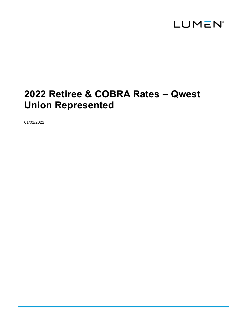

# **2022 Retiree & COBRA Rates – Qwest Union Represented**

01/01/2022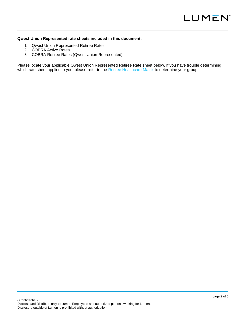#### **Qwest Union Represented rate sheets included in this document:**

- 1. Qwest Union Represented Retiree Rates
- 2. COBRA Active Rates
- 3. COBRA Retiree Rates (Qwest Union Represented)

Please locate your applicable Qwest Union Represented Retiree Rate sheet below. If you have trouble determining which rate sheet applies to you, please refer to the [Retiree Healthcare Matrix](https://centurylink.sharepoint.com/:b:/r/sites/ILHR/DocumentsLifeEvents/Healthcare-Life-Retiree-Matrix-UnitedStates.pdf?csf=1&web=1&e=qodisT) to determine your group.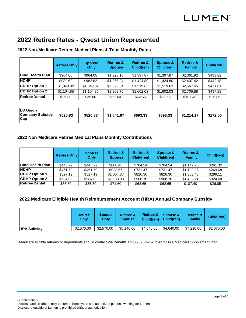### **2022 Retiree Rates - Qwest Union Represented**

### **2022 Non**‐**Medicare Retiree Medical Plans & Total Monthly Rates**

|                         | <b>Retiree Only</b> | <b>Spouse</b><br>Only | <b>Retiree &amp;</b><br><b>Spouse</b> | <b>Retiree &amp;</b><br>Child(ren) | Spouse &<br>Child(ren) | <b>Retiree &amp;</b><br><b>Family</b> | Child(ren) |
|-------------------------|---------------------|-----------------------|---------------------------------------|------------------------------------|------------------------|---------------------------------------|------------|
| <b>Bind Health Plan</b> | \$964.05            | \$964.05              | \$1,928.10                            | \$1,397.87                         | \$1,397.87             | \$2,361.92                            | \$433.82   |
| <b>HDHP</b>             | \$982.62            | \$982.62              | \$1,965,24                            | \$1,424.80                         | \$1,424.80             | \$2,407.42                            | \$442.18   |
| <b>CDHP Option 1</b>    | \$1.048.02          | \$1.048.02            | \$2,096.04                            | \$1.519.63                         | \$1,519.63             | \$2,567.65                            | \$471.61   |
| <b>CDHP Option 2</b>    | \$1,104.85          | \$1,104.85            | \$2,209.70                            | \$1,602.03                         | \$1,602.03             | \$2,706.88                            | \$497.18   |
| <b>Retiree Dental</b>   | \$35.80             | \$35.80               | \$71.60                               | \$62.65                            | \$62.65                | \$107.40                              | \$26.85    |

### **2022 Non**‐**Medicare Retiree Medical Plans Monthly Contributions**

|                         | <b>Retiree Only</b> | <b>Spouse</b><br>Only | <b>Retiree &amp;</b><br><b>Spouse</b> | <b>Retiree &amp;</b><br>Child(ren) | Spouse &<br>Child(ren) | <b>Retiree &amp;</b><br>Family | Child(ren) |
|-------------------------|---------------------|-----------------------|---------------------------------------|------------------------------------|------------------------|--------------------------------|------------|
| <b>Bind Health Plan</b> | \$443.22            | \$443.22              | \$886.43                              | \$704.54                           | \$704.54               | \$1,147.75                     | \$261.32   |
| <b>HDHP</b>             | \$461.79            | \$461.79              | \$923.57                              | \$731.47                           | \$731.47               | \$1,193.25                     | \$269.68   |
| <b>CDHP Option 1</b>    | \$527.19            | \$527.19              | \$1,054.37                            | \$826.30                           | \$826.30               | \$1,353.48                     | \$299.11   |
| <b>CDHP Option 2</b>    | \$584.02            | \$584.02              | \$1,168.03                            | \$908.70                           | \$908.70               | \$1.492.71                     | \$324.68   |
| <b>Retiree Dental</b>   | \$35.80             | \$35.80               | \$71.60                               | \$62.65                            | \$62.65                | \$107.40                       | \$26.85    |

### **2022 Medicare Eligible Health Reimbursement Account (HRA) Annual Company Subsidy**

|                    | <b>Retiree</b><br>Only | <b>Spouse</b><br>Only | <b>Retiree &amp;</b><br><b>Spouse</b> |            | Retiree & Spouse & /<br>Child(ren) Child(ren) | <b>Retiree &amp;</b><br><b>Family</b> | Child(ren) |
|--------------------|------------------------|-----------------------|---------------------------------------|------------|-----------------------------------------------|---------------------------------------|------------|
| <b>HRA Subsidy</b> | \$2,570.00             | \$2,570.00            | \$5,140.00                            | \$4.640.00 | \$4,640,00                                    | \$7,210,00                            | \$2,070.00 |

Medicare eligible retirees or dependents should contact Via Benefits at 888‐825‐4252 to enroll in a Medicare Supplement Plan.

- Confidential -

Disclose and Distribute only to Lumen Employees and authorized persons working for Lumen. Disclosure outside of Lumen is prohibited without authorization.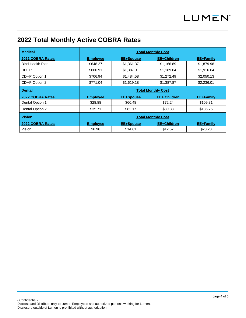## **2022 Total Monthly Active COBRA Rates**

| <b>Medical</b>          | <b>Total Monthly Cost</b>            |                  |                     |            |  |  |  |
|-------------------------|--------------------------------------|------------------|---------------------|------------|--|--|--|
| 2022 COBRA Rates        | <b>Employee</b>                      | <b>EE+Spouse</b> | EE+Children         | EE+Family  |  |  |  |
| <b>Bind Health Plan</b> | \$648.27                             | \$1,361.37       | \$1,166.89          | \$1,879.98 |  |  |  |
| <b>HDHP</b>             | \$660.91                             | \$1,387.91       | \$1,189.64          | \$1,916.64 |  |  |  |
| CDHP Option 1           | \$706.94                             | \$1,484.58       | \$1,272.49          | \$2,050.13 |  |  |  |
| CDHP Option 2           | \$1,387.87<br>\$1,619.18<br>\$771.04 |                  |                     | \$2,236.01 |  |  |  |
| <b>Dental</b>           | <b>Total Monthly Cost</b>            |                  |                     |            |  |  |  |
| 2022 COBRA Rates        | <b>Employee</b>                      | EE+Spouse        | <b>EE+ Children</b> | EE+Family  |  |  |  |
| Dental Option 1         | \$28.88                              | \$66.48          | \$72.24             | \$109.81   |  |  |  |
| Dental Option 2         | \$35.71                              | \$82.17          | \$89.33             | \$135.76   |  |  |  |
| <b>Vision</b>           | <b>Total Monthly Cost</b>            |                  |                     |            |  |  |  |
| 2022 COBRA Rates        | <b>Employee</b>                      | <b>EE+Spouse</b> | <b>EE+Children</b>  | EE+Family  |  |  |  |
| Vision                  | \$6.96                               | \$14.61          | \$12.57             | \$20.20    |  |  |  |